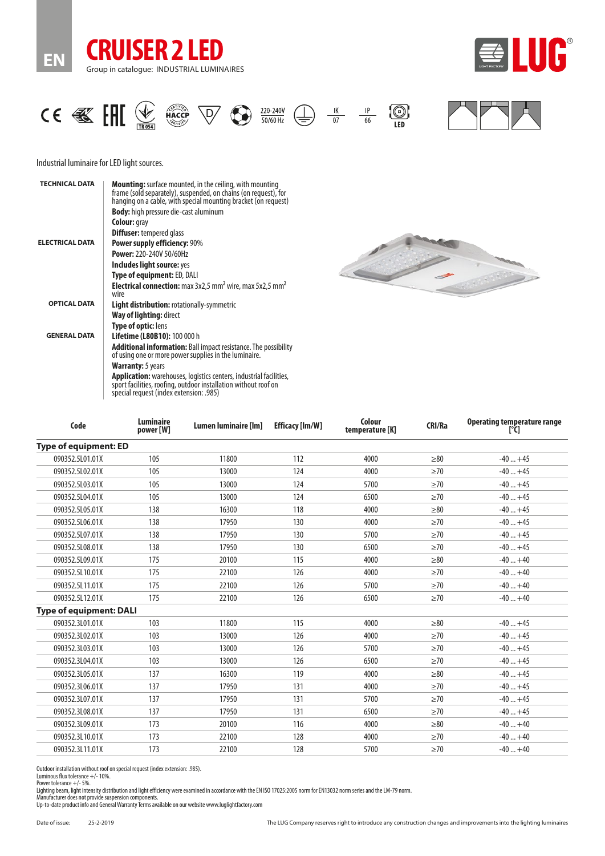







J. B

# Industrial luminaire for LED light sources.

| <b>TECHNICAL DATA</b>  | <b>Mounting:</b> surface mounted, in the ceiling, with mounting<br>frame (sold separately), suspended, on chains (on request), for<br>hanging on a cable, with special mounting bracket (on request) |  |  |  |
|------------------------|------------------------------------------------------------------------------------------------------------------------------------------------------------------------------------------------------|--|--|--|
|                        | <b>Body:</b> high pressure die-cast aluminum                                                                                                                                                         |  |  |  |
|                        | <b>Colour:</b> gray                                                                                                                                                                                  |  |  |  |
|                        | <b>Diffuser:</b> tempered glass                                                                                                                                                                      |  |  |  |
| <b>ELECTRICAL DATA</b> | <b>Power supply efficiency: 90%</b>                                                                                                                                                                  |  |  |  |
|                        | <b>Power: 220-240V 50/60Hz</b>                                                                                                                                                                       |  |  |  |
|                        | Includes light source: yes                                                                                                                                                                           |  |  |  |
|                        | <b>Type of equipment: ED, DALI</b>                                                                                                                                                                   |  |  |  |
|                        | <b>Electrical connection:</b> max $3x2.5$ mm <sup>2</sup> wire, max $5x2.5$ mm <sup>2</sup><br>wire                                                                                                  |  |  |  |
| <b>OPTICAL DATA</b>    | <b>Light distribution:</b> rotationally-symmetric                                                                                                                                                    |  |  |  |
|                        | <b>Way of lighting: direct</b>                                                                                                                                                                       |  |  |  |
|                        | <b>Type of optic: lens</b>                                                                                                                                                                           |  |  |  |
| <b>GENERAL DATA</b>    | <b>Lifetime (L80B10): 100 000 h</b>                                                                                                                                                                  |  |  |  |
|                        | <b>Additional information:</b> Ball impact resistance. The possibility<br>of using one or more power supplies in the luminaire.                                                                      |  |  |  |
|                        | <b>Warranty:</b> 5 years                                                                                                                                                                             |  |  |  |
|                        | <b>Application:</b> warehouses, logistics centers, industrial facilities,<br>sport facilities, roofing, outdoor installation without roof on<br>special request (index extension: .985)              |  |  |  |

| Code                           | <b>Luminaire</b><br>power [W] | Lumen luminaire [lm] | <b>Efficacy [Im/W]</b> | Colour<br>temperature [K] | <b>CRI/Ra</b> | Operating temperature range<br>$[^{\circ}C]$ |
|--------------------------------|-------------------------------|----------------------|------------------------|---------------------------|---------------|----------------------------------------------|
| <b>Type of equipment: ED</b>   |                               |                      |                        |                           |               |                                              |
| 090352.5L01.01X                | 105                           | 11800                | 112                    | 4000                      | $\geq 80$     | $-40+45$                                     |
| 090352.5L02.01X                | 105                           | 13000                | 124                    | 4000                      | $\geq 70$     | $-40+45$                                     |
| 090352.5L03.01X                | 105                           | 13000                | 124                    | 5700                      | >70           | $-40+45$                                     |
| 090352.5L04.01X                | 105                           | 13000                | 124                    | 6500                      | $\geq 70$     | $-40+45$                                     |
| 090352.5L05.01X                | 138                           | 16300                | 118                    | 4000                      | > 80          | $-40+45$                                     |
| 090352.5L06.01X                | 138                           | 17950                | 130                    | 4000                      | $\geq 70$     | $-40+45$                                     |
| 090352.5L07.01X                | 138                           | 17950                | 130                    | 5700                      | $\geq 70$     | $-40+45$                                     |
| 090352.5L08.01X                | 138                           | 17950                | 130                    | 6500                      | $\geq 70$     | $-40+45$                                     |
| 090352.5L09.01X                | 175                           | 20100                | 115                    | 4000                      | > 80          | $-40+40$                                     |
| 090352.5L10.01X                | 175                           | 22100                | 126                    | 4000                      | $\geq 70$     | $-40+40$                                     |
| 090352.5L11.01X                | 175                           | 22100                | 126                    | 5700                      | $\geq 70$     | $-40+40$                                     |
| 090352.5L12.01X                | 175                           | 22100                | 126                    | 6500                      | $\geq 70$     | $-40+40$                                     |
| <b>Type of equipment: DALI</b> |                               |                      |                        |                           |               |                                              |
| 090352.3L01.01X                | 103                           | 11800                | 115                    | 4000                      | > 80          | $-40+45$                                     |
| 090352.3L02.01X                | 103                           | 13000                | 126                    | 4000                      | $\geq 70$     | $-40+45$                                     |
| 090352.3L03.01X                | 103                           | 13000                | 126                    | 5700                      | $\geq 70$     | $-40+45$                                     |
| 090352.3L04.01X                | 103                           | 13000                | 126                    | 6500                      | $\geq 70$     | $-40+45$                                     |
| 090352.3L05.01X                | 137                           | 16300                | 119                    | 4000                      | > 80          | $-40+45$                                     |
| 090352.3L06.01X                | 137                           | 17950                | 131                    | 4000                      | $\geq 70$     | $-40+45$                                     |
| 090352.3L07.01X                | 137                           | 17950                | 131                    | 5700                      | $\geq 70$     | $-40+45$                                     |
| 090352.3L08.01X                | 137                           | 17950                | 131                    | 6500                      | $\geq 70$     | $-40+45$                                     |
| 090352.3L09.01X                | 173                           | 20100                | 116                    | 4000                      | > 80          | $-40+40$                                     |
| 090352.3L10.01X                | 173                           | 22100                | 128                    | 4000                      | $\geq 70$     | $-40+40$                                     |
| 090352.3L11.01X                | 173                           | 22100                | 128                    | 5700                      | $\geq 70$     | $-40+40$                                     |

Outdoor installation without roof on special request (index extension: .985). Luminous flux tolerance +/- 10%.

Power tolerance +/- 5%. Lighting beam, light intensity distribution and light efficiency were examined in accordance with the EN ISO 17025:2005 norm for EN13032 norm series and the LM-79 norm.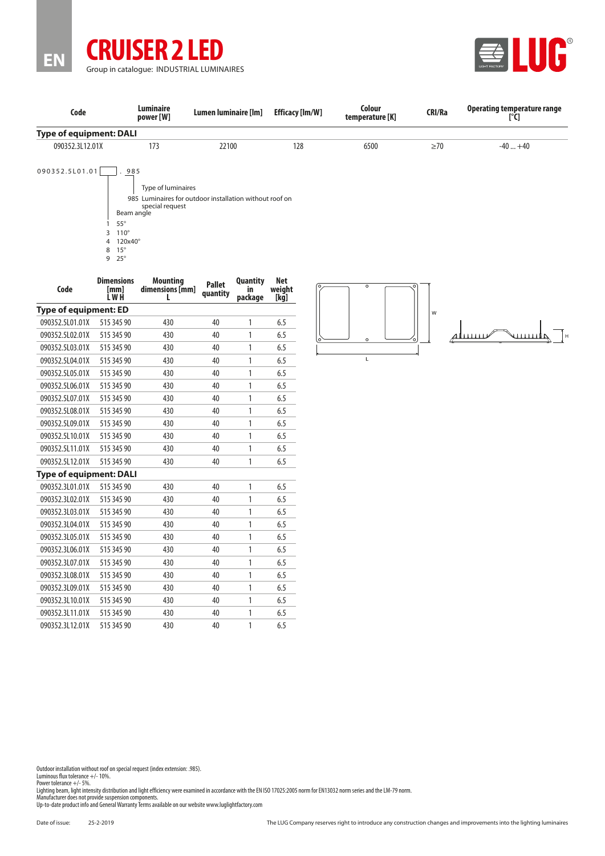



| Code                    | <b>Luminaire</b><br>power [W]           | Lumen luminaire [lm] | <b>Efficacy [lm/W]</b> | Colour<br>temperature [K] | <b>CRI/Ra</b> | Operating temperature range |
|-------------------------|-----------------------------------------|----------------------|------------------------|---------------------------|---------------|-----------------------------|
| Type of equipment: DALI |                                         |                      |                        |                           |               |                             |
| 090352.3L12.01X         | 173                                     | 22100                | 128                    | 6500                      | $\geq 70$     | $-40+40$                    |
| 090352.5L01.01          | 985<br>There is not be constructions of |                      |                        |                           |               |                             |

Type of luminaires

985 Luminaires for outdoor installation without roof on special request

Beam angle

1 55°

3 110°

4 120x40°

8 15° 9 25°

| <b>Dimensions</b><br>[mm]<br>L W H | <b>Mounting</b><br>dimensions [mm]<br>L | <b>Pallet</b><br>quantity | <b>Quantity</b><br>in<br>package | <b>Net</b><br>weight<br>[kg] |  |  |  |  |
|------------------------------------|-----------------------------------------|---------------------------|----------------------------------|------------------------------|--|--|--|--|
| <b>Type of equipment: ED</b>       |                                         |                           |                                  |                              |  |  |  |  |
| 515 345 90                         | 430                                     | 40                        | 1                                | 6.5                          |  |  |  |  |
| 515 345 90                         | 430                                     | 40                        | 1                                | 6.5                          |  |  |  |  |
| 515 345 90                         | 430                                     | 40                        | 1                                | 6.5                          |  |  |  |  |
| 515 345 90                         | 430                                     | 40                        | 1                                | 6.5                          |  |  |  |  |
| 515 345 90                         | 430                                     | 40                        | 1                                | 6.5                          |  |  |  |  |
| 515 345 90                         | 430                                     | 40                        | 1                                | 6.5                          |  |  |  |  |
| 515 345 90                         | 430                                     | 40                        | 1                                | 6.5                          |  |  |  |  |
| 515 345 90                         | 430                                     | 40                        | 1                                | 6.5                          |  |  |  |  |
| 515 345 90                         | 430                                     | 40                        | 1                                | 6.5                          |  |  |  |  |
| 515 345 90                         | 430                                     | 40                        | 1                                | 6.5                          |  |  |  |  |
| 515 345 90                         | 430                                     | 40                        | 1                                | 6.5                          |  |  |  |  |
| 515 345 90                         | 430                                     | 40                        | 1                                | 6.5                          |  |  |  |  |
|                                    |                                         |                           |                                  |                              |  |  |  |  |
| 515 345 90                         | 430                                     | 40                        | 1                                | 6.5                          |  |  |  |  |
| 515 345 90                         | 430                                     | 40                        | 1                                | 6.5                          |  |  |  |  |
| 515 345 90                         | 430                                     | 40                        | 1                                | 6.5                          |  |  |  |  |
| 515 345 90                         | 430                                     | 40                        | 1                                | 6.5                          |  |  |  |  |
| 515 345 90                         | 430                                     | 40                        | 1                                | 6.5                          |  |  |  |  |
| 515 345 90                         | 430                                     | 40                        | 1                                | 6.5                          |  |  |  |  |
| 515 345 90                         | 430                                     | 40                        | 1                                | 6.5                          |  |  |  |  |
| 515 345 90                         | 430                                     | 40                        | 1                                | 6.5                          |  |  |  |  |
| 515 345 90                         | 430                                     | 40                        | 1                                | 6.5                          |  |  |  |  |
| 515 345 90                         | 430                                     | 40                        | 1                                | 6.5                          |  |  |  |  |
| 515 345 90                         | 430                                     | 40                        | 1                                | 6.5                          |  |  |  |  |
| 515 345 90                         | 430                                     | 40                        | 1                                | 6.5                          |  |  |  |  |
|                                    |                                         | Type of equipment: DALI   |                                  |                              |  |  |  |  |





Outdoor installation without roof on special request (index extension: .985). Luminous flux tolerance +/- 10%.

Power tolerance +/- 5%. Lighting beam, light intensity distribution and light efficiency were examined in accordance with the EN ISO 17025:2005 norm for EN13032 norm series and the LM-79 norm.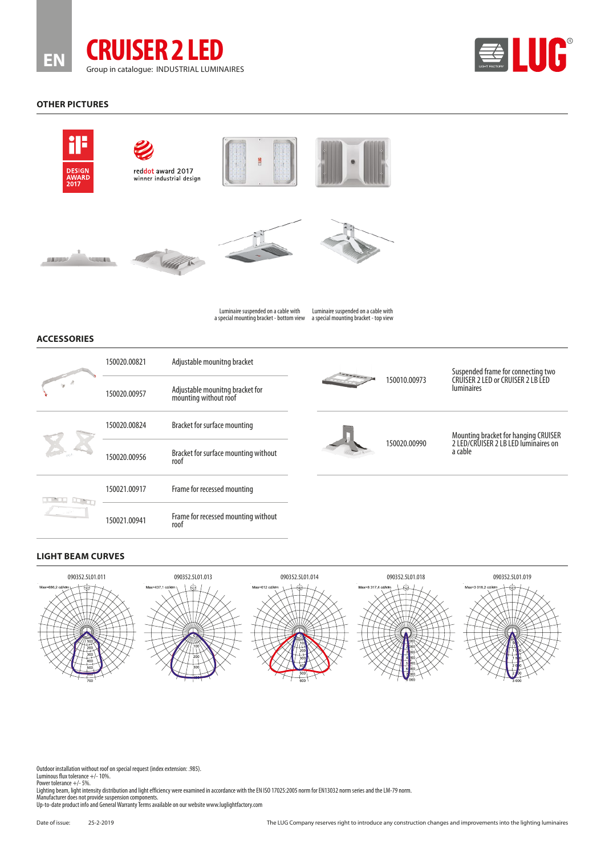



#### **OTHER PICTURES**















Luminaire suspended on a cable with

a special mounting bracket - bottom view a special mounting bracket - top view Luminaire suspended on a cable with

# **ACCESSORIES**

|                | 150020.00821 | Adjustable mounitng bracket                              |  | 150010.00973 | Suspended frame for connecting two<br>CRUISER 2 LED or CRUISER 2 LB LED<br><b>luminaires</b> |
|----------------|--------------|----------------------------------------------------------|--|--------------|----------------------------------------------------------------------------------------------|
|                | 150020.00957 | Adjustable mounitng bracket for<br>mounting without roof |  |              |                                                                                              |
|                | 150020.00824 | Bracket for surface mounting                             |  | 150020.00990 | Mounting bracket for hanging CRUISER<br>2 LED/CRUISER 2 LB LED luminaires on<br>a cable      |
|                | 150020.00956 | Bracket for surface mounting without<br>roof             |  |              |                                                                                              |
| $\sim 10^{10}$ | 150021.00917 | Frame for recessed mounting                              |  |              |                                                                                              |
|                | 150021.00941 | Frame for recessed mounting without<br>roof              |  |              |                                                                                              |

# **LIGHT BEAM CURVES**



Outdoor installation without roof on special request (index extension: .985). Luminous flux tolerance +/- 10%.

Power tolerance +/- 5%. Lighting beam, light intensity distribution and light efficiency were examined in accordance with the EN ISO 17025:2005 norm for EN13032 norm series and the LM-79 norm.